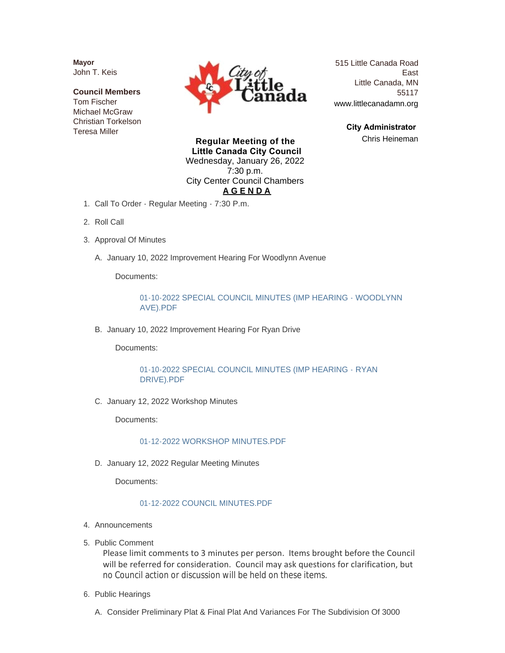**Mayor** John T. Keis

**Council Members** Tom Fischer Michael McGraw Christian Torkelson Teresa Miller



515 Little Canada Road East Little Canada, MN 55117 www.littlecanadamn.org

> **City Administrator**  Chris Heineman

**Regular Meeting of the Little Canada City Council** Wednesday, January 26, 2022 7:30 p.m. City Center Council Chambers **A G E N D A**

- 1. Call To Order Regular Meeting 7:30 P.m.
- 2. Roll Call
- 3. Approval Of Minutes
	- A. January 10, 2022 Improvement Hearing For Woodlynn Avenue

Documents:

[01-10-2022 SPECIAL COUNCIL MINUTES \(IMP HEARING - WOODLYNN](http://www.littlecanadamn.org/AgendaCenter/ViewFile/Item/3695?fileID=3484)  AVE).PDF

B. January 10, 2022 Improvement Hearing For Ryan Drive

Documents:

[01-10-2022 SPECIAL COUNCIL MINUTES \(IMP HEARING - RYAN](http://www.littlecanadamn.org/AgendaCenter/ViewFile/Item/3696?fileID=3483)  DRIVE).PDF

C. January 12, 2022 Workshop Minutes

Documents:

[01-12-2022 WORKSHOP MINUTES.PDF](http://www.littlecanadamn.org/AgendaCenter/ViewFile/Item/3698?fileID=3486)

D. January 12, 2022 Regular Meeting Minutes

Documents:

#### [01-12-2022 COUNCIL MINUTES.PDF](http://www.littlecanadamn.org/AgendaCenter/ViewFile/Item/3699?fileID=3485)

- 4. Announcements
- 5. Public Comment

Please limit comments to 3 minutes per person. Items brought before the Council will be referred for consideration. Council may ask questions for clarification, but no Council action or discussion will be held on these items.

- 6. Public Hearings
	- Consider Preliminary Plat & Final Plat And Variances For The Subdivision Of 3000 A.